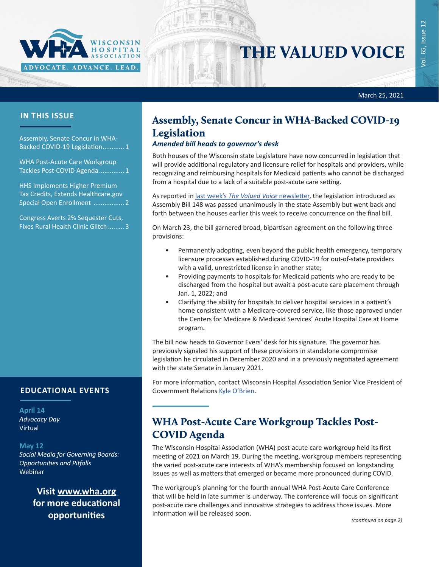

# THE VALUED VOICE

西田 March 25, 2021

### **IN THIS ISSUE**

Assembly, Senate Concur in WHA-Backed COVID-19 Legislation............ 1

WHA Post-Acute Care Workgroup Tackles Post-COVID Agenda.............. 1

[HHS Implements Higher Premium](#page-1-0)  [Tax Credits, Extends Healthcare.gov](#page-1-0)  [Special Open Enrollment .................](#page-1-0) 2

[Congress Averts 2% Sequester Cuts,](#page-2-0)  [Fixes Rural Health Clinic Glitch](#page-2-0) ......... 3

### **EDUCATIONAL EVENTS**

#### **April 14**

*[Advocacy Day](https://www.wha.org/AD-2021)* Virtual

#### **May 12**

*[Social Media for Governing Boards:](https://www.wha.org/AboutWHA/CalendarofEvents/Webinar-Online-Education/Social-Media)  [Opportunities and Pitfalls](https://www.wha.org/AboutWHA/CalendarofEvents/Webinar-Online-Education/Social-Media)* Webinar

> **Visit [www.wha.org](https://www.wha.org) for more educational opportunities**

## Assembly, Senate Concur in WHA-Backed COVID-19 Legislation

#### *Amended bill heads to governor's desk*

Both houses of the Wisconsin state Legislature have now concurred in legislation that will provide additional regulatory and licensure relief for hospitals and providers, while recognizing and reimbursing hospitals for Medicaid patients who cannot be discharged from a hospital due to a lack of a suitable post-acute care setting.

As reported in last week's *[The Valued Voice](https://www.wha.org/MediaRoom/WHANewsletter/2021/03-18-2021/State-Assembly-Moves-Forward-on-WHA-Supporte-COVID)* newsletter, the legislation introduced as Assembly Bill 148 was passed unanimously in the state Assembly but went back and forth between the houses earlier this week to receive concurrence on the final bill.

On March 23, the bill garnered broad, bipartisan agreement on the following three provisions:

- Permanently adopting, even beyond the public health emergency, temporary licensure processes established during COVID-19 for out-of-state providers with a valid, unrestricted license in another state;
- Providing payments to hospitals for Medicaid patients who are ready to be discharged from the hospital but await a post-acute care placement through Jan. 1, 2022; and
- Clarifying the ability for hospitals to deliver hospital services in a patient's home consistent with a Medicare-covered service, like those approved under the Centers for Medicare & Medicaid Services' Acute Hospital Care at Home program.

The bill now heads to Governor Evers' desk for his signature. The governor has previously signaled his support of these provisions in standalone compromise legislation he circulated in December 2020 and in a previously negotiated agreement with the state Senate in January 2021.

For more information, contact Wisconsin Hospital Association Senior Vice President of Government Relations [Kyle O'Brien](mailto:kobrien@wha.org).

## WHA Post-Acute Care Workgroup Tackles Post-COVID Agenda

The Wisconsin Hospital Association (WHA) post-acute care workgroup held its first meeting of 2021 on March 19. During the meeting, workgroup members representing the varied post-acute care interests of WHA's membership focused on longstanding issues as well as matters that emerged or became more pronounced during COVID.

The workgroup's planning for the fourth annual WHA Post-Acute Care Conference that will be held in late summer is underway. The conference will focus on significant post-acute care challenges and innovative strategies to address those issues. More information will be released soon.

*(continued on page 2)*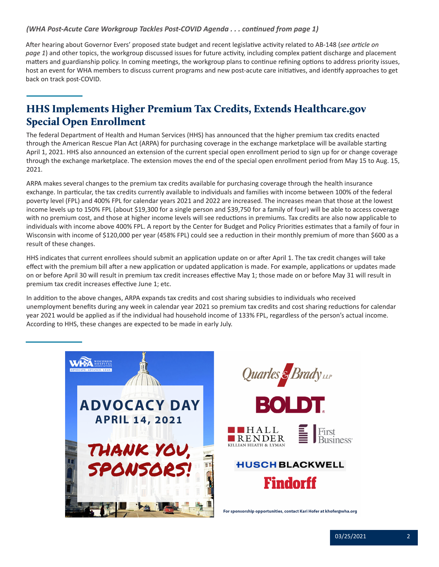#### <span id="page-1-0"></span>*(WHA Post-Acute Care Workgroup Tackles Post-COVID Agenda . . . continued from page 1)*

After hearing about Governor Evers' proposed state budget and recent legislative activity related to AB-148 (*see article on page 1*) and other topics, the workgroup discussed issues for future activity, including complex patient discharge and placement matters and guardianship policy. In coming meetings, the workgroup plans to continue refining options to address priority issues, host an event for WHA members to discuss current programs and new post-acute care initiatives, and identify approaches to get back on track post-COVID.

# HHS Implements Higher Premium Tax Credits, Extends Healthcare.gov Special Open Enrollment

The federal Department of Health and Human Services (HHS) has announced that the higher premium tax credits enacted through the American Rescue Plan Act (ARPA) for purchasing coverage in the exchange marketplace will be available starting April 1, 2021. HHS also announced an extension of the current special open enrollment period to sign up for or change coverage through the exchange marketplace. The extension moves the end of the special open enrollment period from May 15 to Aug. 15, 2021.

ARPA makes several changes to the premium tax credits available for purchasing coverage through the health insurance exchange. In particular, the tax credits currently available to individuals and families with income between 100% of the federal poverty level (FPL) and 400% FPL for calendar years 2021 and 2022 are increased. The increases mean that those at the lowest income levels up to 150% FPL (about \$19,300 for a single person and \$39,750 for a family of four) will be able to access coverage with no premium cost, and those at higher income levels will see reductions in premiums. Tax credits are also now applicable to individuals with income above 400% FPL. A report by the Center for Budget and Policy Priorities estimates that a family of four in Wisconsin with income of \$120,000 per year (458% FPL) could see a reduction in their monthly premium of more than \$600 as a result of these changes.

HHS indicates that current enrollees should submit an application update on or after April 1. The tax credit changes will take effect with the premium bill after a new application or updated application is made. For example, applications or updates made on or before April 30 will result in premium tax credit increases effective May 1; those made on or before May 31 will result in premium tax credit increases effective June 1; etc.

In addition to the above changes, ARPA expands tax credits and cost sharing subsidies to individuals who received unemployment benefits during any week in calendar year 2021 so premium tax credits and cost sharing reductions for calendar year 2021 would be applied as if the individual had household income of 133% FPL, regardless of the person's actual income. According to HHS, these changes are expected to be made in early July.





For sponsorship opportunities, contact Kari Hofer at khofer@wha.org